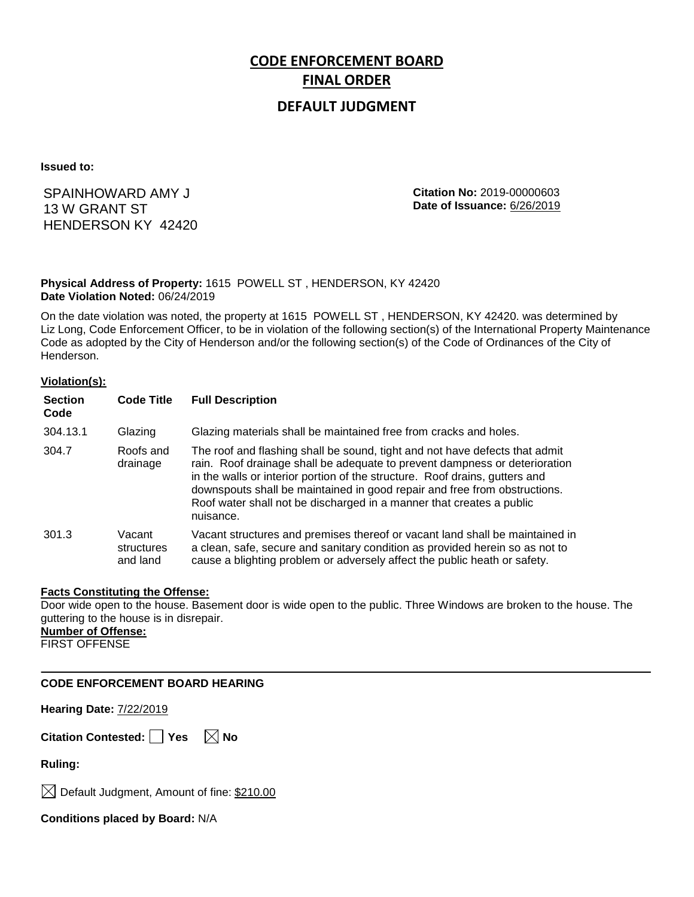# **CODE ENFORCEMENT BOARD FINAL ORDER**

### **DEFAULT JUDGMENT**

**Issued to:**

 HENDERSON KY 42420 SPAINHOWARD AMY J 13 W GRANT ST

**Citation No:** 2019-00000603 **Date of Issuance:** 6/26/2019

#### **Physical Address of Property:** 1615 POWELL ST , HENDERSON, KY 42420 **Date Violation Noted:** 06/24/2019

On the date violation was noted, the property at 1615 POWELL ST , HENDERSON, KY 42420. was determined by Liz Long, Code Enforcement Officer, to be in violation of the following section(s) of the International Property Maintenance Code as adopted by the City of Henderson and/or the following section(s) of the Code of Ordinances of the City of Henderson.

#### **Violation(s):**

| <b>Section</b><br>Code | <b>Code Title</b>                | <b>Full Description</b>                                                                                                                                                                                                                                                                                                                                                                                    |
|------------------------|----------------------------------|------------------------------------------------------------------------------------------------------------------------------------------------------------------------------------------------------------------------------------------------------------------------------------------------------------------------------------------------------------------------------------------------------------|
| 304.13.1               | Glazing                          | Glazing materials shall be maintained free from cracks and holes.                                                                                                                                                                                                                                                                                                                                          |
| 304.7                  | Roofs and<br>drainage            | The roof and flashing shall be sound, tight and not have defects that admit<br>rain. Roof drainage shall be adequate to prevent dampness or deterioration<br>in the walls or interior portion of the structure. Roof drains, gutters and<br>downspouts shall be maintained in good repair and free from obstructions.<br>Roof water shall not be discharged in a manner that creates a public<br>nuisance. |
| 301.3                  | Vacant<br>structures<br>and land | Vacant structures and premises thereof or vacant land shall be maintained in<br>a clean, safe, secure and sanitary condition as provided herein so as not to<br>cause a blighting problem or adversely affect the public heath or safety.                                                                                                                                                                  |

#### **Facts Constituting the Offense:**

Door wide open to the house. Basement door is wide open to the public. Three Windows are broken to the house. The guttering to the house is in disrepair.

## **Number of Offense:**

FIRST OFFENSE

#### **CODE ENFORCEMENT BOARD HEARING**

**Hearing Date:** 7/22/2019

**Citation Contested:** Yes  $\boxtimes$  No

**Ruling:**

 $\boxtimes$  Default Judgment, Amount of fine: \$210.00

**Conditions placed by Board:** N/A